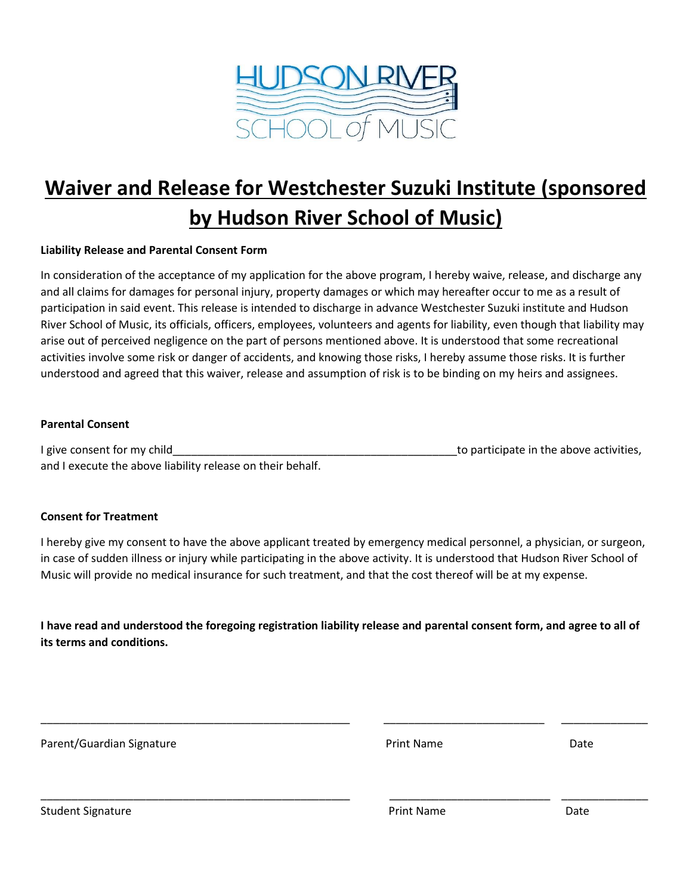

# **Waiver and Release for Westchester Suzuki Institute (sponsored by Hudson River School of Music)**

#### **Liability Release and Parental Consent Form**

In consideration of the acceptance of my application for the above program, I hereby waive, release, and discharge any and all claims for damages for personal injury, property damages or which may hereafter occur to me as a result of participation in said event. This release is intended to discharge in advance Westchester Suzuki institute and Hudson River School of Music, its officials, officers, employees, volunteers and agents for liability, even though that liability may arise out of perceived negligence on the part of persons mentioned above. It is understood that some recreational activities involve some risk or danger of accidents, and knowing those risks, I hereby assume those risks. It is further understood and agreed that this waiver, release and assumption of risk is to be binding on my heirs and assignees.

#### **Parental Consent**

I give consent for my child and the state of the above activities, and I execute the above liability release on their behalf.

#### **Consent for Treatment**

I hereby give my consent to have the above applicant treated by emergency medical personnel, a physician, or surgeon, in case of sudden illness or injury while participating in the above activity. It is understood that Hudson River School of Music will provide no medical insurance for such treatment, and that the cost thereof will be at my expense.

**I have read and understood the foregoing registration liability release and parental consent form, and agree to all of its terms and conditions.**

| Parent/Guardian Signature | <b>Print Name</b> | Date |  |
|---------------------------|-------------------|------|--|
|                           |                   |      |  |
| <b>Student Signature</b>  | <b>Print Name</b> | Date |  |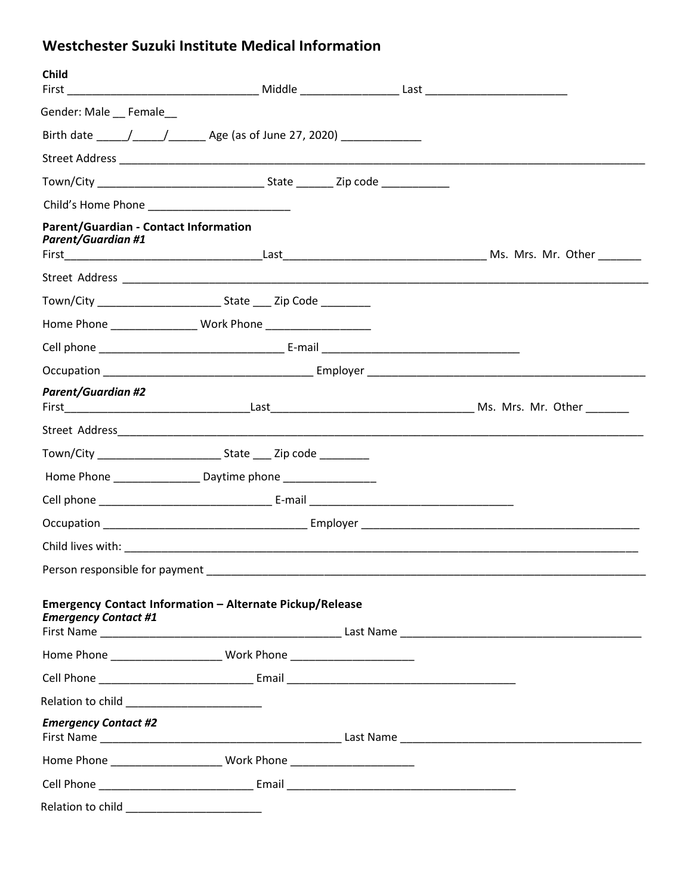# **Westchester Suzuki Institute Medical Information**

| <b>Child</b>                                                                            |  |  |
|-----------------------------------------------------------------------------------------|--|--|
| Gender: Male __ Female__                                                                |  |  |
|                                                                                         |  |  |
|                                                                                         |  |  |
| Town/City State Zip code                                                                |  |  |
|                                                                                         |  |  |
| Parent/Guardian - Contact Information<br><b>Parent/Guardian #1</b>                      |  |  |
|                                                                                         |  |  |
|                                                                                         |  |  |
|                                                                                         |  |  |
|                                                                                         |  |  |
|                                                                                         |  |  |
| <b>Parent/Guardian #2</b>                                                               |  |  |
|                                                                                         |  |  |
|                                                                                         |  |  |
| Home Phone ___________________ Daytime phone _________________                          |  |  |
|                                                                                         |  |  |
|                                                                                         |  |  |
|                                                                                         |  |  |
| Person responsible for payment                                                          |  |  |
| Emergency Contact Information - Alternate Pickup/Release<br><b>Emergency Contact #1</b> |  |  |
|                                                                                         |  |  |
|                                                                                         |  |  |
| Relation to child ___________________________                                           |  |  |
| <b>Emergency Contact #2</b>                                                             |  |  |
|                                                                                         |  |  |
|                                                                                         |  |  |
| Relation to child _____________________________                                         |  |  |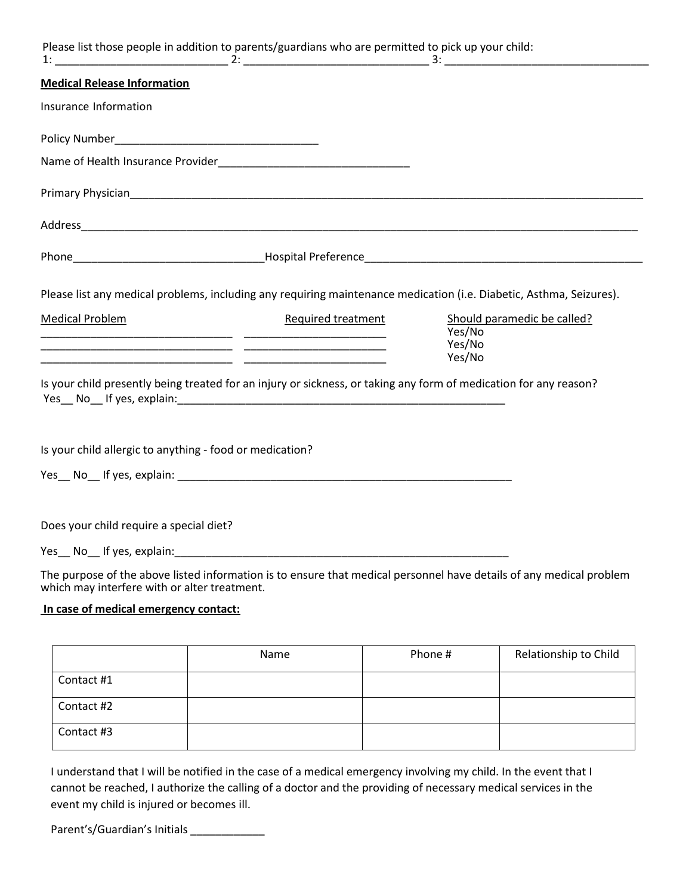|                                                          | Please list those people in addition to parents/guardians who are permitted to pick up your child:                |                                                                                                                     |
|----------------------------------------------------------|-------------------------------------------------------------------------------------------------------------------|---------------------------------------------------------------------------------------------------------------------|
| <b>Medical Release Information</b>                       |                                                                                                                   |                                                                                                                     |
| Insurance Information                                    |                                                                                                                   |                                                                                                                     |
|                                                          |                                                                                                                   |                                                                                                                     |
|                                                          |                                                                                                                   |                                                                                                                     |
|                                                          |                                                                                                                   |                                                                                                                     |
|                                                          |                                                                                                                   |                                                                                                                     |
|                                                          |                                                                                                                   |                                                                                                                     |
|                                                          | Is your child presently being treated for an injury or sickness, or taking any form of medication for any reason? | Yes/No<br>Yes/No<br>Yes/No                                                                                          |
|                                                          |                                                                                                                   |                                                                                                                     |
| Is your child allergic to anything - food or medication? |                                                                                                                   |                                                                                                                     |
|                                                          |                                                                                                                   |                                                                                                                     |
| Does your child require a special diet?                  |                                                                                                                   |                                                                                                                     |
|                                                          |                                                                                                                   |                                                                                                                     |
| which may interfere with or alter treatment.             |                                                                                                                   | The purpose of the above listed information is to ensure that medical personnel have details of any medical problem |

## **In case of medical emergency contact:**

|            | Name | Phone # | Relationship to Child |
|------------|------|---------|-----------------------|
| Contact #1 |      |         |                       |
| Contact #2 |      |         |                       |
| Contact #3 |      |         |                       |

I understand that I will be notified in the case of a medical emergency involving my child. In the event that I cannot be reached, I authorize the calling of a doctor and the providing of necessary medical services in the event my child is injured or becomes ill.

Parent's/Guardian's Initials \_\_\_\_\_\_\_\_\_\_\_\_\_\_